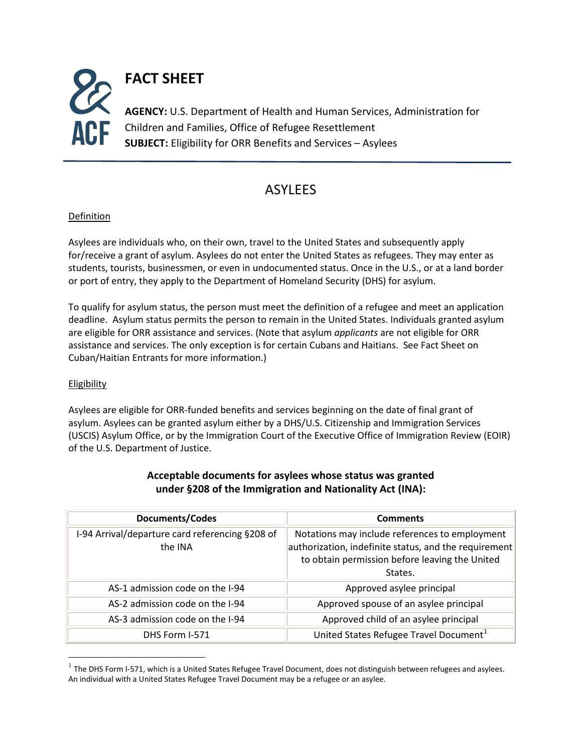

## **ASYLFFS**

## Definition

Asylees are individuals who, on their own, travel to the United States and subsequently apply for/receive a grant of asylum. Asylees do not enter the United States as refugees. They may enter as students, tourists, businessmen, or even in undocumented status. Once in the U.S., or at a land border or port of entry, they apply to the Department of Homeland Security (DHS) for asylum.

To qualify for asylum status, the person must meet the definition of a refugee and meet an application deadline. Asylum status permits the person to remain in the United States. Individuals granted asylum are eligible for ORR assistance and services. (Note that asylum *applicants* are not eligible for ORR assistance and services. The only exception is for certain Cubans and Haitians. See Fact Sheet on Cuban/Haitian Entrants for more information.)

## Eligibility

Asylees are eligible for ORR-funded benefits and services beginning on the date of final grant of asylum. Asylees can be granted asylum either by a DHS/U.S. Citizenship and Immigration Services (USCIS) Asylum Office, or by the Immigration Court of the Executive Office of Immigration Review (EOIR) of the U.S. Department of Justice.

<span id="page-0-1"></span>

| <b>Documents/Codes</b>                                     | <b>Comments</b>                                                                                                                                                      |
|------------------------------------------------------------|----------------------------------------------------------------------------------------------------------------------------------------------------------------------|
| I-94 Arrival/departure card referencing §208 of<br>the INA | Notations may include references to employment<br>authorization, indefinite status, and the requirement<br>to obtain permission before leaving the United<br>States. |
| AS-1 admission code on the I-94                            | Approved asylee principal                                                                                                                                            |
| AS-2 admission code on the I-94                            | Approved spouse of an asylee principal                                                                                                                               |
| AS-3 admission code on the I-94                            | Approved child of an asylee principal                                                                                                                                |
| DHS Form I-571                                             | United States Refugee Travel Document <sup>1</sup>                                                                                                                   |

## **Acceptable documents for asylees whose status was granted under §208 of the Immigration and Nationality Act (INA):**

<span id="page-0-0"></span> $1$  The DHS Form I-571, which is a United States Refugee Travel Document, does not distinguish between refugees and asylees. An individual with a United States Refugee Travel Document may be a refugee or an asylee.